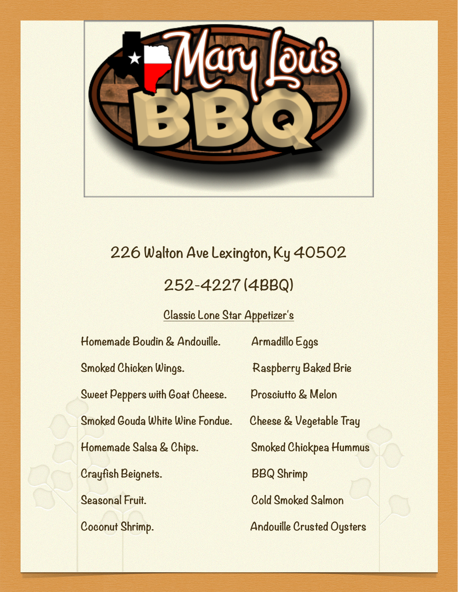

#### **226 Walton Ave Lexington, Ky 40502**

#### **252-4227 (4BBQ)**

#### **Classic Lone Star Appetizer's**

| Homemade Boudin & Andouille.           | Armadillo Eggs                     |
|----------------------------------------|------------------------------------|
| Smoked Chicken Wings.                  | <b>Raspberry Baked Brie</b>        |
| <b>Sweet Peppers with Goat Cheese.</b> | <b>Prosciutto &amp; Melon</b>      |
| Smoked Gouda White Wine Fondue.        | <b>Cheese &amp; Vegetable Tray</b> |
| Homemade Salsa & Chips.                | <b>Smoked Chickpea Hummus</b>      |
| Crayfish Beignets.                     | <b>BBQ Shrimp</b>                  |
| Seasonal Fruit.                        | <b>Cold Smoked Salmon</b>          |
| Coconut Shrimp.                        | <b>Andouille Crusted Oysters</b>   |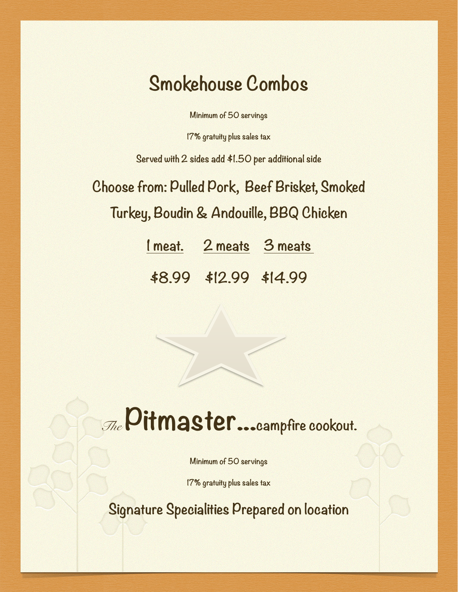#### **Smokehouse Combos**

**Minimum of 50 servings** 

**17% gratuity plus sales tax**

**Served with 2 sides add \$1.50 per additional side**

**Choose from: Pulled Pork, Beef Brisket, Smoked Turkey, Boudin & Andouille, BBQ Chicken**

**1 meat. 2 meats 3 meats** 

**\$8.99 \$12.99 \$14.99** 

## *The* **Pitmaster...campfire cookout.**

**Minimum of 50 servings**

**17% gratuity plus sales tax**

**Signature Specialities Prepared on location**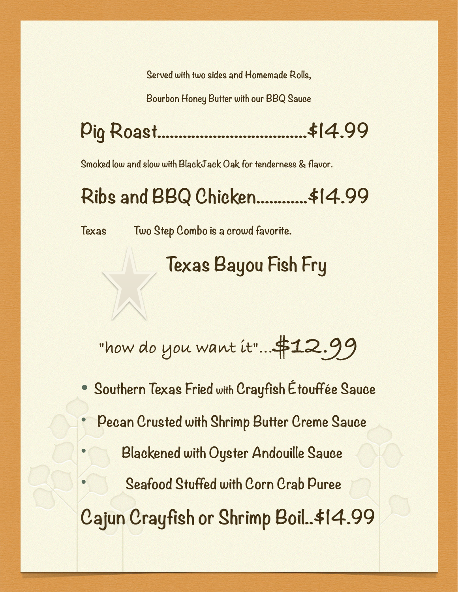**Served with two sides and Homemade Rolls,** 

**Bourbon Honey Butter with our BBQ Sauce**

**Pig Roast...................................\$14.99**

**Smoked low and slow with BlackJack Oak for tenderness & flavor.**

**Ribs and BBQ Chicken............\$14.99**

**Texas Two Step Combo is a crowd favorite.**

#### **Texas Bayou Fish Fry**

**"how do you want it"...\$12.99**

• **Southern Texas Fried with Crayfish Étouffée Sauce**

• **Pecan Crusted with Shrimp Butter Creme Sauce**

• **Blackened with Oyster Andouille Sauce**

• **Seafood Stuffed with Corn Crab Puree**

**Cajun Crayfish or Shrimp Boil..\$14.99**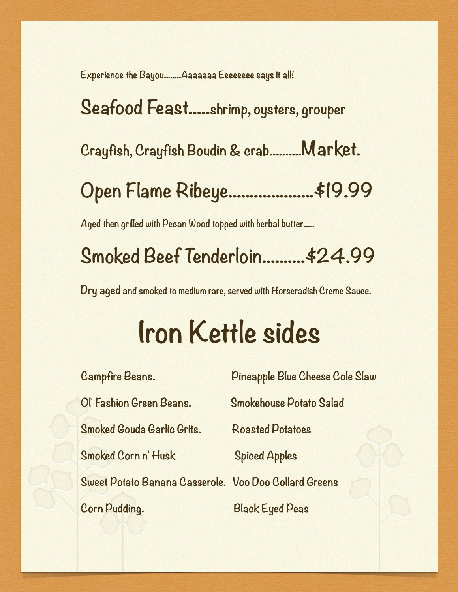**Experience the Bayou........Aaaaaaa Eeeeeeee says it all!**

**Seafood Feast.....shrimp, oysters, grouper Crayfish, Crayfish Boudin & crab..........Market. Open Flame Ribeye....................\$19.99**

**Aged then grilled with Pecan Wood topped with herbal butter.....**

### **Smoked Beef Tenderloin..........\$24.99**

**Dry aged and smoked to medium rare, served with Horseradish Creme Sauce.**

# **Iron Kettle sides**

| <b>Campfire Beans.</b>                                | Pineapple Blue Cheese Cole Slaw |
|-------------------------------------------------------|---------------------------------|
| Ol' Fashion Green Beans.                              | <b>Smokehouse Potato Salad</b>  |
| Smoked Gouda Garlic Grits.                            | <b>Roasted Potatoes</b>         |
| Smoked Corn n'Husk                                    | <b>Spiced Apples</b>            |
| Sweet Potato Banana Casserole. Voo Doo Collard Greens |                                 |
| Corn Pudding.                                         | <b>Black Eyed Peas</b>          |